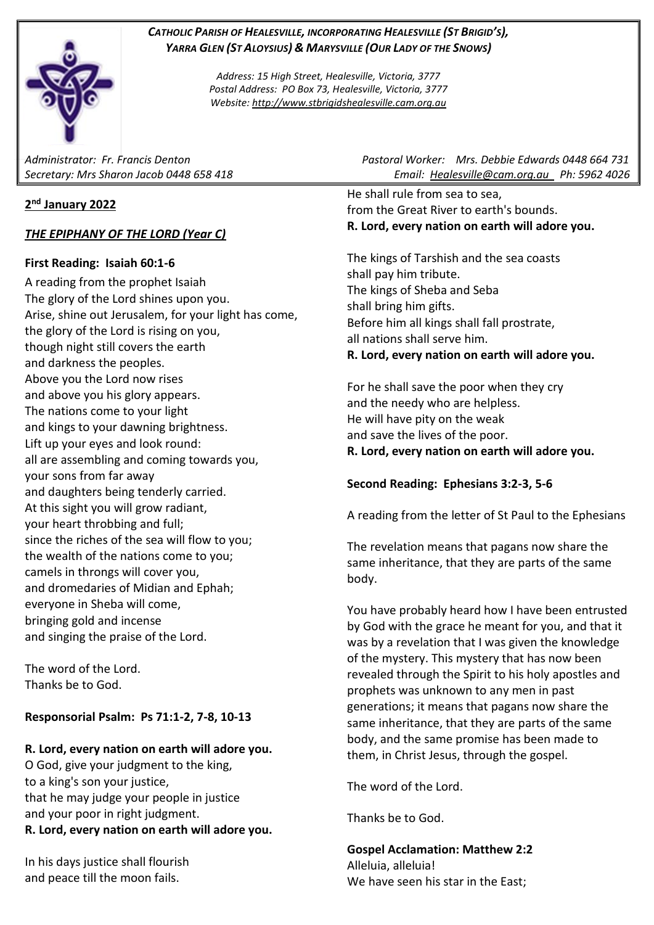#### *CATHOLIC PARISH OF HEALESVILLE, INCORPORATING HEALESVILLE (ST BRIGID'S), YARRA GLEN (ST ALOYSIUS) & MARYSVILLE (OUR LADY OF THE SNOWS)*

*Address: 15 High Street, Healesville, Victoria, 3777 Postal Address: PO Box 73, Healesville, Victoria, 3777 Website: [http://www.stbrigidshealesville.cam.org.au](http://www.stbrigidshealesville.cam.org.au/)*

# **2 nd January 2022**

## *THE EPIPHANY OF THE LORD (Year C)*

#### **First Reading: Isaiah 60:1-6**

A reading from the prophet Isaiah The glory of the Lord shines upon you. Arise, shine out Jerusalem, for your light has come, the glory of the Lord is rising on you, though night still covers the earth and darkness the peoples. Above you the Lord now rises and above you his glory appears. The nations come to your light and kings to your dawning brightness. Lift up your eyes and look round: all are assembling and coming towards you, your sons from far away and daughters being tenderly carried. At this sight you will grow radiant, your heart throbbing and full; since the riches of the sea will flow to you; the wealth of the nations come to you; camels in throngs will cover you, and dromedaries of Midian and Ephah; everyone in Sheba will come, bringing gold and incense and singing the praise of the Lord.

The word of the Lord. Thanks be to God.

## **Responsorial Psalm: Ps 71:1-2, 7-8, 10-13**

## **R. Lord, every nation on earth will adore you.**

O God, give your judgment to the king, to a king's son your justice, that he may judge your people in justice and your poor in right judgment. **R. Lord, every nation on earth will adore you.**

In his days justice shall flourish and peace till the moon fails.

*Administrator: Fr. Francis Denton Pastoral Worker: Mrs. Debbie Edwards 0448 664 731 Secretary: Mrs Sharon Jacob 0448 658 418 Email: [Healesville@cam.org.au](mailto:Healesville@cam.org.au) Ph: 5962 4026* 

> He shall rule from sea to sea, from the Great River to earth's bounds. **R. Lord, every nation on earth will adore you.**

> The kings of Tarshish and the sea coasts shall pay him tribute. The kings of Sheba and Seba shall bring him gifts. Before him all kings shall fall prostrate, all nations shall serve him. **R. Lord, every nation on earth will adore you.**

> For he shall save the poor when they cry and the needy who are helpless. He will have pity on the weak and save the lives of the poor. **R. Lord, every nation on earth will adore you.**

## **Second Reading: Ephesians 3:2-3, 5-6**

A reading from the letter of St Paul to the Ephesians

The revelation means that pagans now share the same inheritance, that they are parts of the same body.

You have probably heard how I have been entrusted by God with the grace he meant for you, and that it was by a revelation that I was given the knowledge of the mystery. This mystery that has now been revealed through the Spirit to his holy apostles and prophets was unknown to any men in past generations; it means that pagans now share the same inheritance, that they are parts of the same body, and the same promise has been made to them, in Christ Jesus, through the gospel.

The word of the Lord.

Thanks be to God.

**Gospel Acclamation: Matthew 2:2** Alleluia, alleluia! We have seen his star in the East;